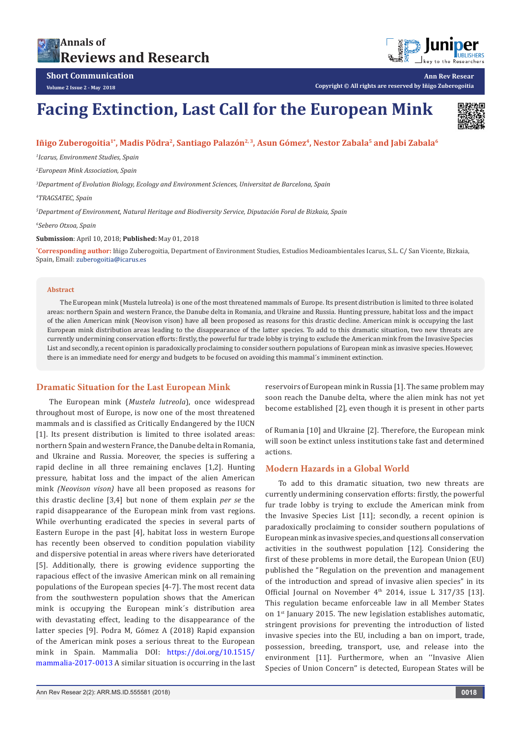# **Annals of [Reviews and Research](https://juniperpublishers.com/arr/)**



**Ann Rev Resear**

**Short Communication Volume 2 Issue 2 - May 2018**

**Copyright © All rights are reserved by Iñigo Zuberogoitia**

# **Facing Extinction, Last Call for the European Mink**



# Iñigo Zuberogoitia<sup>1\*</sup>, Madis Põdra<sup>2</sup>, Santiago Palazón<sup>2, 3</sup>, Asun Gómez<sup>4</sup>, Nestor Zabala<sup>5</sup> and Jabi Zabala<sup>6</sup>

*1 Icarus, Environment Studies, Spain*

*2 European Mink Association, Spain*

*3 Department of Evolution Biology, Ecology and Environment Sciences, Universitat de Barcelona, Spain*

*4 TRAGSATEC, Spain*

*5 Department of Environment, Natural Heritage and Biodiversity Service, Diputación Foral de Bizkaia, Spain*

*6 Sebero Otxoa, Spain*

#### **Submission**: April 10, 2018; **Published:** May 01, 2018

**\* Corresponding author:** Iñigo Zuberogoitia, Department of Environment Studies, Estudios Medioambientales Icarus, S.L. C/ San Vicente, Bizkaia, Spain, Email: zuberogoitia@icarus.es

#### **Abstract**

The European mink (Mustela lutreola) is one of the most threatened mammals of Europe. Its present distribution is limited to three isolated areas: northern Spain and western France, the Danube delta in Romania, and Ukraine and Russia. Hunting pressure, habitat loss and the impact of the alien American mink (Neovison vison) have all been proposed as reasons for this drastic decline. American mink is occupying the last European mink distribution areas leading to the disappearance of the latter species. To add to this dramatic situation, two new threats are currently undermining conservation efforts: firstly, the powerful fur trade lobby is trying to exclude the American mink from the Invasive Species List and secondly, a recent opinion is paradoxically proclaiming to consider southern populations of European mink as invasive species. However, there is an immediate need for energy and budgets to be focused on avoiding this mammal´s imminent extinction.

# **Dramatic Situation for the Last European Mink**

The European mink (*Mustela lutreola*), once widespread throughout most of Europe, is now one of the most threatened mammals and is classified as Critically Endangered by the IUCN [1]. Its present distribution is limited to three isolated areas: northern Spain and western France, the Danube delta in Romania, and Ukraine and Russia. Moreover, the species is suffering a rapid decline in all three remaining enclaves [1,2]. Hunting pressure, habitat loss and the impact of the alien American mink *(Neovison vison)* have all been proposed as reasons for this drastic decline [3,4] but none of them explain *per se* the rapid disappearance of the European mink from vast regions. While overhunting eradicated the species in several parts of Eastern Europe in the past [4], habitat loss in western Europe has recently been observed to condition population viability and dispersive potential in areas where rivers have deteriorated [5]. Additionally, there is growing evidence supporting the rapacious effect of the invasive American mink on all remaining populations of the European species [4-7]. The most recent data from the southwestern population shows that the American mink is occupying the European mink´s distribution area with devastating effect, leading to the disappearance of the latter species [9]. Podra M, Gómez A (2018) Rapid expansion of the American mink poses a serious threat to the European mink in Spain. Mammalia DOI: [https://doi.org/10.1515/](https://doi.org/10.1515/mammalia-2017-0013) [mammalia-2017-0013](https://doi.org/10.1515/mammalia-2017-0013) A similar situation is occurring in the last reservoirs of European mink in Russia [1]. The same problem may soon reach the Danube delta, where the alien mink has not yet become established [2], even though it is present in other parts

of Rumania [10] and Ukraine [2]. Therefore, the European mink will soon be extinct unless institutions take fast and determined actions.

# **Modern Hazards in a Global World**

To add to this dramatic situation, two new threats are currently undermining conservation efforts: firstly, the powerful fur trade lobby is trying to exclude the American mink from the Invasive Species List [11]; secondly, a recent opinion is paradoxically proclaiming to consider southern populations of European mink as invasive species, and questions all conservation activities in the southwest population [12]. Considering the first of these problems in more detail, the European Union (EU) published the "Regulation on the prevention and management of the introduction and spread of invasive alien species" in its Official Journal on November  $4<sup>th</sup>$  2014, issue L 317/35 [13]. This regulation became enforceable law in all Member States on 1<sup>st</sup> January 2015. The new legislation establishes automatic, stringent provisions for preventing the introduction of listed invasive species into the EU, including a ban on import, trade, possession, breeding, transport, use, and release into the environment [11]. Furthermore, when an ''Invasive Alien Species of Union Concern'' is detected, European States will be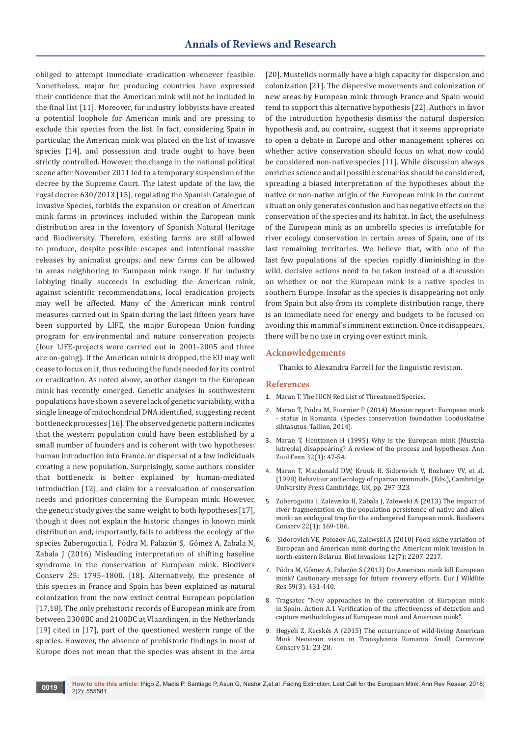obliged to attempt immediate eradication whenever feasible. Nonetheless, major fur producing countries have expressed their confidence that the American mink will not be included in the final list [11]. Moreover, fur industry lobbyists have created a potential loophole for American mink and are pressing to exclude this species from the list. In fact, considering Spain in particular, the American mink was placed on the list of invasive species [14], and possession and trade ought to have been strictly controlled. However, the change in the national political scene after November 2011 led to a temporary suspension of the decree by the Supreme Court. The latest update of the law, the royal decree 630/2013 [15], regulating the Spanish Catalogue of Invasive Species, forbids the expansion or creation of American mink farms in provinces included within the European mink distribution area in the Inventory of Spanish Natural Heritage and Biodiversity. Therefore, existing farms are still allowed to produce, despite possible escapes and intentional massive releases by animalist groups, and new farms can be allowed in areas neighboring to European mink range. If fur industry lobbying finally succeeds in excluding the American mink, against scientific recommendations, local eradication projects may well be affected. Many of the American mink control measures carried out in Spain during the last fifteen years have been supported by LIFE, the major European Union funding program for environmental and nature conservation projects (four LIFE-projects were carried out in 2001-2005 and three are on-going). If the American mink is dropped, the EU may well cease to focus on it, thus reducing the funds needed for its control or eradication. As noted above, another danger to the European mink has recently emerged. Genetic analyses in southwestern populations have shown a severe lack of genetic variability, with a single lineage of mitochondrial DNA identified, suggesting recent bottleneck processes [16]. The observed genetic pattern indicates that the western population could have been established by a small number of founders and is coherent with two hypotheses: human introduction into France, or dispersal of a few individuals creating a new population. Surprisingly, some authors consider that bottleneck is better explained by human-mediated introduction [12], and claim for a reevaluation of conservation needs and priorities concerning the European mink. However, the genetic study gives the same weight to both hypotheses [17], though it does not explain the historic changes in known mink distribution and, importantly, fails to address the ecology of the species Zuberogoitia I, Põdra M, Palazón S, Gómez A, Zabala N, Zabala J (2016) Misleading interpretation of shifting baseline syndrome in the conservation of European mink. Biodivers Conserv 25: 1795–1800. [18]. Alternatively, the presence of this species in France and Spain has been explained as natural colonization from the now extinct central European population [17,18]. The only prehistoric records of European mink are from between 2300BC and 2100BC at Vlaardingen, in the Netherlands [19] cited in [17], part of the questioned western range of the species. However, the absence of prehistoric findings in most of Europe does not mean that the species was absent in the area

[20]. Mustelids normally have a high capacity for dispersion and colonization [21]. The dispersive movements and colonization of new areas by European mink through France and Spain would tend to support this alternative hypothesis [22]. Authors in favor of the introduction hypothesis dismiss the natural dispersion hypothesis and, au contraire, suggest that it seems appropriate to open a debate in Europe and other management spheres on whether active conservation should focus on what now could be considered non-native species [11]. While discussion always enriches science and all possible scenarios should be considered, spreading a biased interpretation of the hypotheses about the native or non-native origin of the European mink in the current situation only generates confusion and has negative effects on the conservation of the species and its habitat. In fact, the usefulness of the European mink as an umbrella species is irrefutable for river ecology conservation in certain areas of Spain, one of its last remaining territories. We believe that, with one of the last few populations of the species rapidly diminishing in the wild, decisive actions need to be taken instead of a discussion on whether or not the European mink is a native species in southern Europe. Insofar as the species is disappearing not only from Spain but also from its complete distribution range, there is an immediate need for energy and budgets to be focused on avoiding this mammal´s imminent extinction. Once it disappears, there will be no use in crying over extinct mink.

#### **Acknowledgements**

Thanks to Alexandra Farrell for the linguistic revision.

#### **References**

- 1. Maran T. The IUCN Red List of Threatened Species.
- 2. Maran T, Põdra M, Fournier P (2014) Mission report: European mink - status in Romania. (Species conservation foundation Looduskaitse sihtasutus. Tallinn, 2014).
- 3. Maran T, Henttonen H (1995) Why is the European mink (Mustela lutreola) disappearing? A review of the process and hypotheses. Ann Zool Fenn 32(1): 47-54.
- 4. Maran T, Macdonald DW, Kruuk H, Sidorovich V, Rozhnov VV, et al. (1998) Behaviour and ecology of riparian mammals*.* (Eds.), Cambridge University Press Cambridge, UK, pp. 297-323.
- 5. [Zuberogoitia I, Zalewska H, Zabala J, Zalewski A \(2013\) The impact of](https://link.springer.com/article/10.1007%2Fs10531-012-0410-3)  [river fragmentation on the population persistence of native and alien](https://link.springer.com/article/10.1007%2Fs10531-012-0410-3)  [mink: an ecological trap for the endangered European mink. Biodivers](https://link.springer.com/article/10.1007%2Fs10531-012-0410-3)  [Conserv 22\(1\): 169-186.](https://link.springer.com/article/10.1007%2Fs10531-012-0410-3)
- 6. [Sidorovich VE, Polozov AG, Zalewski A \(2010\) Food niche variation of](https://link.springer.com/article/10.1007%2Fs10530-009-9631-0)  [European and American mink during the American mink invasion in](https://link.springer.com/article/10.1007%2Fs10530-009-9631-0)  [north-eastern Belarus. Biol Invasions 12\(7\): 2207-2217.](https://link.springer.com/article/10.1007%2Fs10530-009-9631-0)
- 7. [Põdra M, Gómez A, Palazón S \(2013\) Do American mink kill European](https://link.springer.com/article/10.1007%2Fs10344-013-0689-8)  [mink? Cautionary message for future recovery efforts. Eur J Wildlife](https://link.springer.com/article/10.1007%2Fs10344-013-0689-8)  [Res 59\(3\): 431-440.](https://link.springer.com/article/10.1007%2Fs10344-013-0689-8)
- 8. Tragsatec "New approaches in the conservation of European mink in Spain. Action A.1 Verification of the effectiveness of detection and capture methodologies of European mink and American mink".
- 9. Hegyeli Z, Kecskés A (2015) The occurrence of wild-living American Mink Neovison vison in Transylvania Romania. Small Carnivore Conserv 51: 23-28.